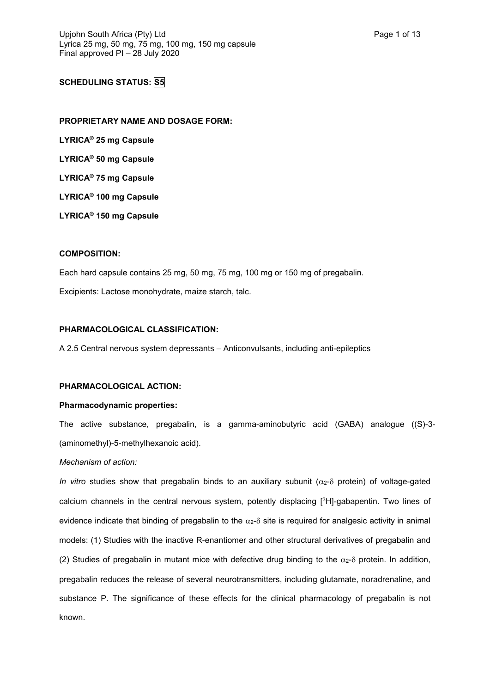# **SCHEDULING STATUS: S5**

**PROPRIETARY NAME AND DOSAGE FORM: LYRICA® 25 mg Capsule LYRICA® 50 mg Capsule LYRICA® 75 mg Capsule LYRICA® 100 mg Capsule LYRICA® 150 mg Capsule**

### **COMPOSITION:**

Each hard capsule contains 25 mg, 50 mg, 75 mg, 100 mg or 150 mg of pregabalin. Excipients: Lactose monohydrate, maize starch, talc.

## **PHARMACOLOGICAL CLASSIFICATION:**

A 2.5 Central nervous system depressants – Anticonvulsants, including anti-epileptics

## **PHARMACOLOGICAL ACTION:**

### **Pharmacodynamic properties:**

The active substance, pregabalin, is a gamma-aminobutyric acid (GABA) analogue ((S)-3- (aminomethyl)-5-methylhexanoic acid).

## *Mechanism of action:*

*In vitro* studies show that pregabalin binds to an auxiliary subunit ( $\alpha_2$ - $\delta$  protein) of voltage-gated calcium channels in the central nervous system, potently displacing [ <sup>3</sup>H]-gabapentin. Two lines of evidence indicate that binding of pregabalin to the  $\alpha$ <sup>2</sup>- $\delta$  site is required for analgesic activity in animal models: (1) Studies with the inactive R-enantiomer and other structural derivatives of pregabalin and (2) Studies of pregabalin in mutant mice with defective drug binding to the  $\alpha$ - $\delta$  protein. In addition, pregabalin reduces the release of several neurotransmitters, including glutamate, noradrenaline, and substance P. The significance of these effects for the clinical pharmacology of pregabalin is not known.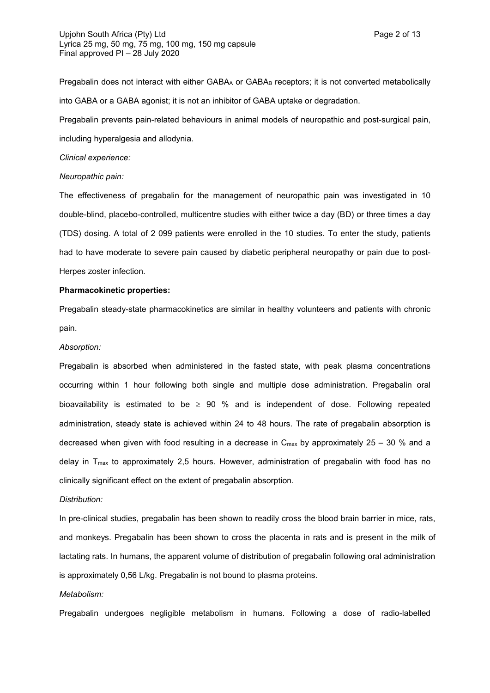Pregabalin does not interact with either GABAA or GABAB receptors; it is not converted metabolically into GABA or a GABA agonist; it is not an inhibitor of GABA uptake or degradation.

Pregabalin prevents pain-related behaviours in animal models of neuropathic and post-surgical pain, including hyperalgesia and allodynia.

### *Clinical experience:*

#### *Neuropathic pain:*

The effectiveness of pregabalin for the management of neuropathic pain was investigated in 10 double-blind, placebo-controlled, multicentre studies with either twice a day (BD) or three times a day (TDS) dosing. A total of 2 099 patients were enrolled in the 10 studies. To enter the study, patients had to have moderate to severe pain caused by diabetic peripheral neuropathy or pain due to post-Herpes zoster infection.

#### **Pharmacokinetic properties:**

Pregabalin steady-state pharmacokinetics are similar in healthy volunteers and patients with chronic pain.

#### *Absorption:*

Pregabalin is absorbed when administered in the fasted state, with peak plasma concentrations occurring within 1 hour following both single and multiple dose administration. Pregabalin oral bioavailability is estimated to be  $\ge$  90 % and is independent of dose. Following repeated administration, steady state is achieved within 24 to 48 hours. The rate of pregabalin absorption is decreased when given with food resulting in a decrease in  $C_{\text{max}}$  by approximately 25 – 30 % and a delay in Tmax to approximately 2,5 hours. However, administration of pregabalin with food has no clinically significant effect on the extent of pregabalin absorption.

### *Distribution:*

In pre-clinical studies, pregabalin has been shown to readily cross the blood brain barrier in mice, rats, and monkeys. Pregabalin has been shown to cross the placenta in rats and is present in the milk of lactating rats. In humans, the apparent volume of distribution of pregabalin following oral administration is approximately 0,56 L/kg. Pregabalin is not bound to plasma proteins.

### *Metabolism:*

Pregabalin undergoes negligible metabolism in humans. Following a dose of radio-labelled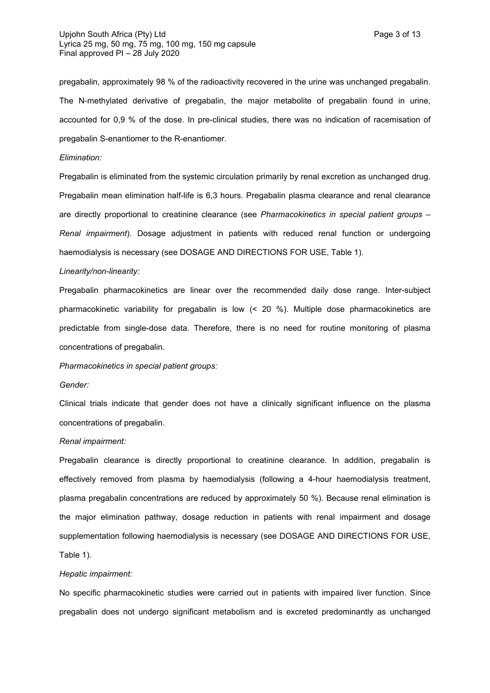pregabalin, approximately 98 % of the radioactivity recovered in the urine was unchanged pregabalin. The N-methylated derivative of pregabalin, the major metabolite of pregabalin found in urine, accounted for 0,9 % of the dose. In pre-clinical studies, there was no indication of racemisation of pregabalin S-enantiomer to the R-enantiomer.

### *Elimination:*

Pregabalin is eliminated from the systemic circulation primarily by renal excretion as unchanged drug. Pregabalin mean elimination half-life is 6,3 hours. Pregabalin plasma clearance and renal clearance are directly proportional to creatinine clearance (see *Pharmacokinetics in special patient groups – Renal impairment*). Dosage adjustment in patients with reduced renal function or undergoing haemodialysis is necessary (see DOSAGE AND DIRECTIONS FOR USE, Table 1).

#### *Linearity/non-linearity:*

Pregabalin pharmacokinetics are linear over the recommended daily dose range. Inter-subject pharmacokinetic variability for pregabalin is low (< 20 %). Multiple dose pharmacokinetics are predictable from single-dose data. Therefore, there is no need for routine monitoring of plasma concentrations of pregabalin.

*Pharmacokinetics in special patient groups:*

#### *Gender:*

Clinical trials indicate that gender does not have a clinically significant influence on the plasma concentrations of pregabalin.

#### *Renal impairment:*

Pregabalin clearance is directly proportional to creatinine clearance. In addition, pregabalin is effectively removed from plasma by haemodialysis (following a 4-hour haemodialysis treatment, plasma pregabalin concentrations are reduced by approximately 50 %). Because renal elimination is the major elimination pathway, dosage reduction in patients with renal impairment and dosage supplementation following haemodialysis is necessary (see DOSAGE AND DIRECTIONS FOR USE, Table 1).

#### *Hepatic impairment:*

No specific pharmacokinetic studies were carried out in patients with impaired liver function. Since pregabalin does not undergo significant metabolism and is excreted predominantly as unchanged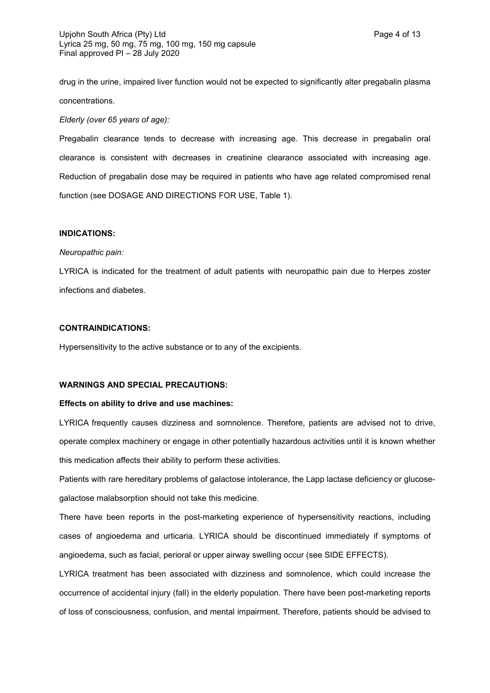drug in the urine, impaired liver function would not be expected to significantly alter pregabalin plasma concentrations.

*Elderly (over 65 years of age):*

Pregabalin clearance tends to decrease with increasing age. This decrease in pregabalin oral clearance is consistent with decreases in creatinine clearance associated with increasing age. Reduction of pregabalin dose may be required in patients who have age related compromised renal function (see DOSAGE AND DIRECTIONS FOR USE, Table 1).

## **INDICATIONS:**

#### *Neuropathic pain:*

LYRICA is indicated for the treatment of adult patients with neuropathic pain due to Herpes zoster infections and diabetes.

### **CONTRAINDICATIONS:**

Hypersensitivity to the active substance or to any of the excipients.

### **WARNINGS AND SPECIAL PRECAUTIONS:**

#### **Effects on ability to drive and use machines:**

LYRICA frequently causes dizziness and somnolence. Therefore, patients are advised not to drive, operate complex machinery or engage in other potentially hazardous activities until it is known whether this medication affects their ability to perform these activities.

Patients with rare hereditary problems of galactose intolerance, the Lapp lactase deficiency or glucosegalactose malabsorption should not take this medicine.

There have been reports in the post-marketing experience of hypersensitivity reactions, including cases of angioedema and urticaria. LYRICA should be discontinued immediately if symptoms of angioedema, such as facial, perioral or upper airway swelling occur (see SIDE EFFECTS).

LYRICA treatment has been associated with dizziness and somnolence, which could increase the occurrence of accidental injury (fall) in the elderly population. There have been post-marketing reports of loss of consciousness, confusion, and mental impairment. Therefore, patients should be advised to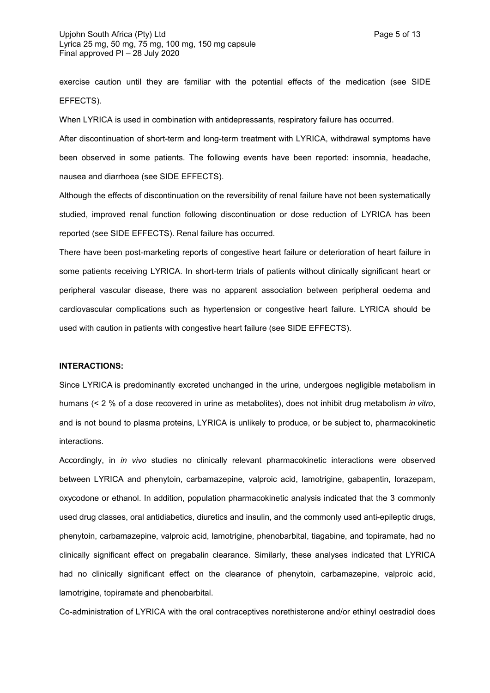exercise caution until they are familiar with the potential effects of the medication (see SIDE EFFECTS).

When LYRICA is used in combination with antidepressants, respiratory failure has occurred.

After discontinuation of short-term and long-term treatment with LYRICA, withdrawal symptoms have been observed in some patients. The following events have been reported: insomnia, headache, nausea and diarrhoea (see SIDE EFFECTS).

Although the effects of discontinuation on the reversibility of renal failure have not been systematically studied, improved renal function following discontinuation or dose reduction of LYRICA has been reported (see SIDE EFFECTS). Renal failure has occurred.

There have been post-marketing reports of congestive heart failure or deterioration of heart failure in some patients receiving LYRICA. In short-term trials of patients without clinically significant heart or peripheral vascular disease, there was no apparent association between peripheral oedema and cardiovascular complications such as hypertension or congestive heart failure. LYRICA should be used with caution in patients with congestive heart failure (see SIDE EFFECTS).

## **INTERACTIONS:**

Since LYRICA is predominantly excreted unchanged in the urine, undergoes negligible metabolism in humans (< 2 % of a dose recovered in urine as metabolites), does not inhibit drug metabolism *in vitro*, and is not bound to plasma proteins, LYRICA is unlikely to produce, or be subject to, pharmacokinetic interactions.

Accordingly, in *in vivo* studies no clinically relevant pharmacokinetic interactions were observed between LYRICA and phenytoin, carbamazepine, valproic acid, lamotrigine, gabapentin, lorazepam, oxycodone or ethanol. In addition, population pharmacokinetic analysis indicated that the 3 commonly used drug classes, oral antidiabetics, diuretics and insulin, and the commonly used anti-epileptic drugs, phenytoin, carbamazepine, valproic acid, lamotrigine, phenobarbital, tiagabine, and topiramate, had no clinically significant effect on pregabalin clearance. Similarly, these analyses indicated that LYRICA had no clinically significant effect on the clearance of phenytoin, carbamazepine, valproic acid, lamotrigine, topiramate and phenobarbital.

Co-administration of LYRICA with the oral contraceptives norethisterone and/or ethinyl oestradiol does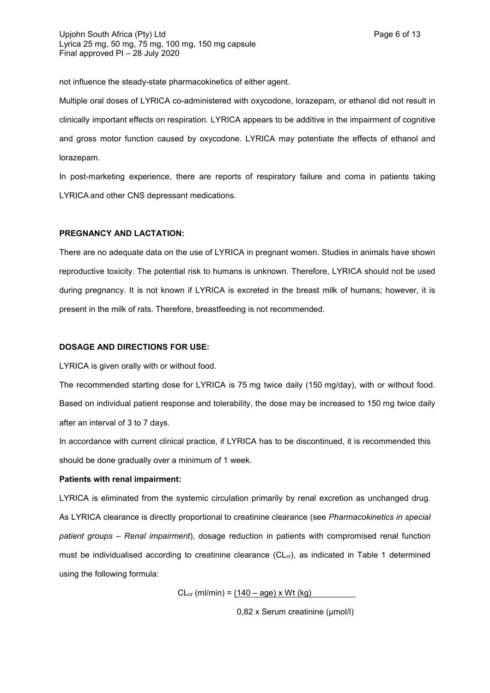not influence the steady-state pharmacokinetics of either agent.

Multiple oral doses of LYRICA co-administered with oxycodone, lorazepam, or ethanol did not result in clinically important effects on respiration. LYRICA appears to be additive in the impairment of cognitive and gross motor function caused by oxycodone. LYRICA may potentiate the effects of ethanol and lorazepam.

In post-marketing experience, there are reports of respiratory failure and coma in patients taking LYRICA and other CNS depressant medications.

### **PREGNANCY AND LACTATION:**

There are no adequate data on the use of LYRICA in pregnant women. Studies in animals have shown reproductive toxicity. The potential risk to humans is unknown. Therefore, LYRICA should not be used during pregnancy. It is not known if LYRICA is excreted in the breast milk of humans; however, it is present in the milk of rats. Therefore, breastfeeding is not recommended.

### **DOSAGE AND DIRECTIONS FOR USE:**

LYRICA is given orally with or without food.

The recommended starting dose for LYRICA is 75 mg twice daily (150 mg/day), with or without food. Based on individual patient response and tolerability, the dose may be increased to 150 mg twice daily after an interval of 3 to 7 days.

In accordance with current clinical practice, if LYRICA has to be discontinued, it is recommended this should be done gradually over a minimum of 1 week.

#### **Patients with renal impairment:**

LYRICA is eliminated from the systemic circulation primarily by renal excretion as unchanged drug. As LYRICA clearance is directly proportional to creatinine clearance (see *Pharmacokinetics in special patient groups – Renal impairment*), dosage reduction in patients with compromised renal function must be individualised according to creatinine clearance  $(CL<sub>cr</sub>)$ , as indicated in Table 1 determined using the following formula:

 $CL_{cr}$  (ml/min) = (140 – age) x Wt (kg)

0,82 x Serum creatinine (µmol/l)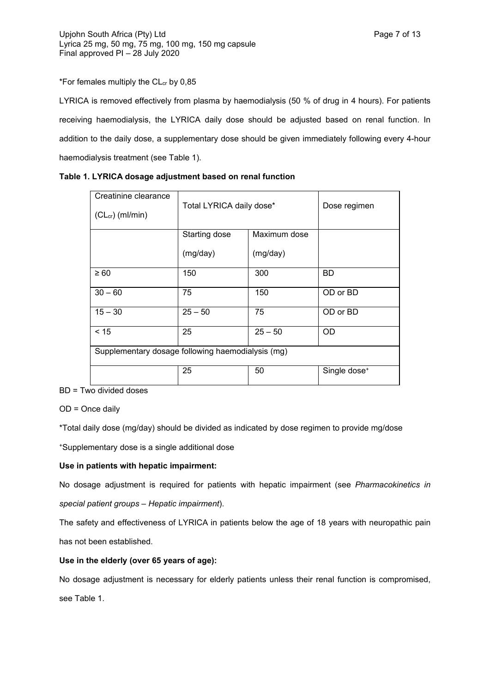\*For females multiply the  $CL<sub>cr</sub>$  by 0,85

LYRICA is removed effectively from plasma by haemodialysis (50 % of drug in 4 hours). For patients receiving haemodialysis, the LYRICA daily dose should be adjusted based on renal function. In addition to the daily dose, a supplementary dose should be given immediately following every 4-hour haemodialysis treatment (see Table 1).

| Table 1. LYRICA dosage adjustment based on renal function |  |
|-----------------------------------------------------------|--|
|-----------------------------------------------------------|--|

| Creatinine clearance<br>$(CLcr)$ (ml/min)         | Total LYRICA daily dose* |              | Dose regimen             |
|---------------------------------------------------|--------------------------|--------------|--------------------------|
|                                                   |                          |              |                          |
|                                                   | Starting dose            | Maximum dose |                          |
|                                                   | (mg/day)                 | (mg/day)     |                          |
| $\geq 60$                                         | 150                      | 300          | <b>BD</b>                |
| $30 - 60$                                         | 75                       | 150          | OD or BD                 |
| $15 - 30$                                         | $25 - 50$                | 75           | OD or BD                 |
| < 15                                              | 25                       | $25 - 50$    | <b>OD</b>                |
| Supplementary dosage following haemodialysis (mg) |                          |              |                          |
|                                                   | 25                       | 50           | Single dose <sup>+</sup> |

BD = Two divided doses

OD = Once daily

\*Total daily dose (mg/day) should be divided as indicated by dose regimen to provide mg/dose

<sup>+</sup>Supplementary dose is a single additional dose

## **Use in patients with hepatic impairment:**

No dosage adjustment is required for patients with hepatic impairment (see *Pharmacokinetics in special patient groups – Hepatic impairment*).

The safety and effectiveness of LYRICA in patients below the age of 18 years with neuropathic pain has not been established.

## **Use in the elderly (over 65 years of age):**

No dosage adjustment is necessary for elderly patients unless their renal function is compromised, see Table 1.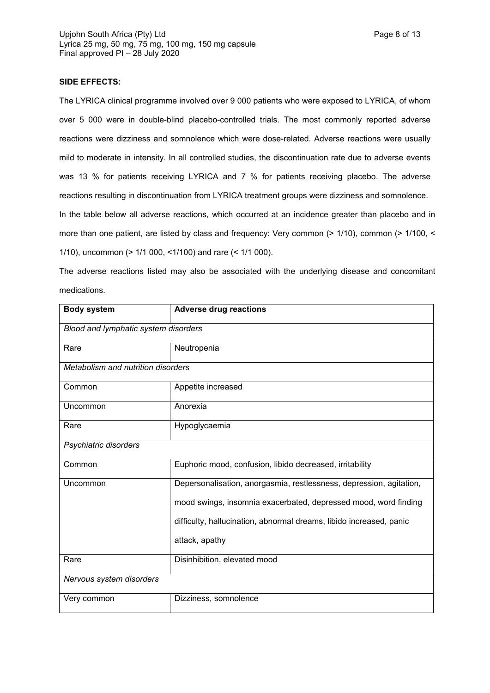## **SIDE EFFECTS:**

The LYRICA clinical programme involved over 9 000 patients who were exposed to LYRICA, of whom over 5 000 were in double-blind placebo-controlled trials. The most commonly reported adverse reactions were dizziness and somnolence which were dose-related. Adverse reactions were usually mild to moderate in intensity. In all controlled studies, the discontinuation rate due to adverse events was 13 % for patients receiving LYRICA and 7 % for patients receiving placebo. The adverse reactions resulting in discontinuation from LYRICA treatment groups were dizziness and somnolence. In the table below all adverse reactions, which occurred at an incidence greater than placebo and in

more than one patient, are listed by class and frequency: Very common (> 1/10), common (> 1/100, < 1/10), uncommon (> 1/1 000, <1/100) and rare (< 1/1 000).

The adverse reactions listed may also be associated with the underlying disease and concomitant medications.

| <b>Body system</b>                        | <b>Adverse drug reactions</b>                                       |
|-------------------------------------------|---------------------------------------------------------------------|
| Blood and lymphatic system disorders      |                                                                     |
| Rare                                      | Neutropenia                                                         |
| <b>Metabolism and nutrition disorders</b> |                                                                     |
| Common                                    | Appetite increased                                                  |
| Uncommon                                  | Anorexia                                                            |
| Rare                                      | Hypoglycaemia                                                       |
| Psychiatric disorders                     |                                                                     |
| Common                                    | Euphoric mood, confusion, libido decreased, irritability            |
| Uncommon                                  | Depersonalisation, anorgasmia, restlessness, depression, agitation, |
|                                           | mood swings, insomnia exacerbated, depressed mood, word finding     |
|                                           | difficulty, hallucination, abnormal dreams, libido increased, panic |
|                                           | attack, apathy                                                      |
| Rare                                      | Disinhibition, elevated mood                                        |
| Nervous system disorders                  |                                                                     |
| Very common                               | Dizziness, somnolence                                               |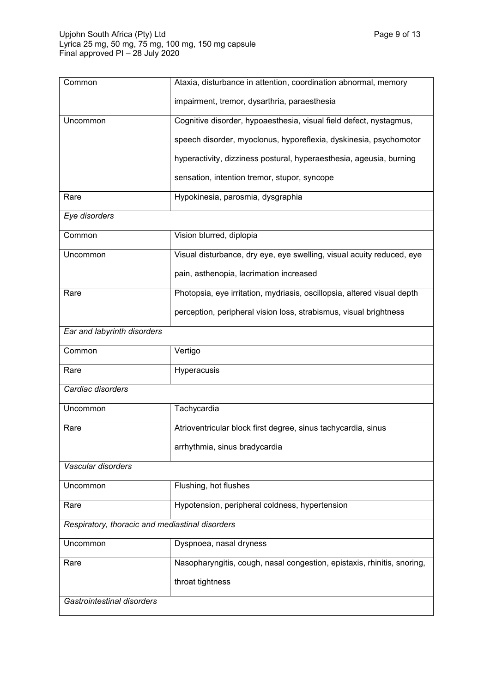| Common                                          | Ataxia, disturbance in attention, coordination abnormal, memory         |
|-------------------------------------------------|-------------------------------------------------------------------------|
|                                                 | impairment, tremor, dysarthria, paraesthesia                            |
| Uncommon                                        | Cognitive disorder, hypoaesthesia, visual field defect, nystagmus,      |
|                                                 | speech disorder, myoclonus, hyporeflexia, dyskinesia, psychomotor       |
|                                                 | hyperactivity, dizziness postural, hyperaesthesia, ageusia, burning     |
|                                                 | sensation, intention tremor, stupor, syncope                            |
| Rare                                            | Hypokinesia, parosmia, dysgraphia                                       |
| Eye disorders                                   |                                                                         |
| Common                                          | Vision blurred, diplopia                                                |
| Uncommon                                        | Visual disturbance, dry eye, eye swelling, visual acuity reduced, eye   |
|                                                 | pain, asthenopia, lacrimation increased                                 |
| Rare                                            | Photopsia, eye irritation, mydriasis, oscillopsia, altered visual depth |
|                                                 | perception, peripheral vision loss, strabismus, visual brightness       |
| Ear and labyrinth disorders                     |                                                                         |
| Common                                          | Vertigo                                                                 |
| Rare                                            | Hyperacusis                                                             |
| Cardiac disorders                               |                                                                         |
| Uncommon                                        | Tachycardia                                                             |
| Rare                                            | Atrioventricular block first degree, sinus tachycardia, sinus           |
|                                                 | arrhythmia, sinus bradycardia                                           |
| Vascular disorders                              |                                                                         |
| Uncommon                                        | Flushing, hot flushes                                                   |
| Rare                                            | Hypotension, peripheral coldness, hypertension                          |
| Respiratory, thoracic and mediastinal disorders |                                                                         |
| Uncommon                                        | Dyspnoea, nasal dryness                                                 |
| Rare                                            | Nasopharyngitis, cough, nasal congestion, epistaxis, rhinitis, snoring, |
|                                                 | throat tightness                                                        |
| Gastrointestinal disorders                      |                                                                         |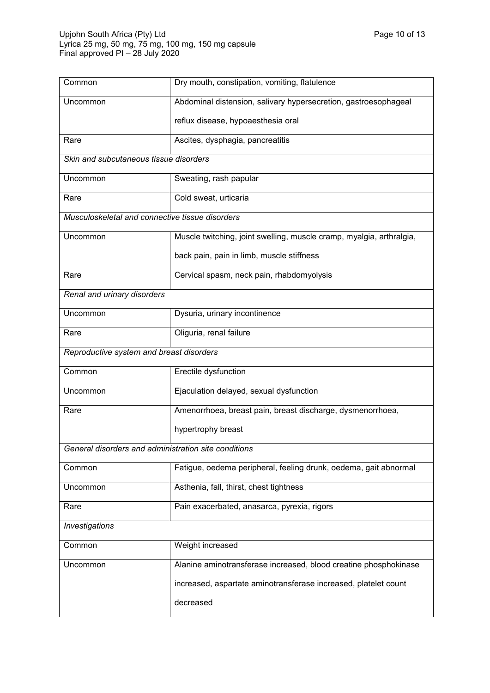| Common                                               | Dry mouth, constipation, vomiting, flatulence                        |  |
|------------------------------------------------------|----------------------------------------------------------------------|--|
| Uncommon                                             | Abdominal distension, salivary hypersecretion, gastroesophageal      |  |
|                                                      | reflux disease, hypoaesthesia oral                                   |  |
| Rare                                                 | Ascites, dysphagia, pancreatitis                                     |  |
| Skin and subcutaneous tissue disorders               |                                                                      |  |
| Uncommon                                             | Sweating, rash papular                                               |  |
| Rare                                                 | Cold sweat, urticaria                                                |  |
| Musculoskeletal and connective tissue disorders      |                                                                      |  |
| Uncommon                                             | Muscle twitching, joint swelling, muscle cramp, myalgia, arthralgia, |  |
|                                                      | back pain, pain in limb, muscle stiffness                            |  |
| Rare                                                 | Cervical spasm, neck pain, rhabdomyolysis                            |  |
| Renal and urinary disorders                          |                                                                      |  |
| Uncommon                                             | Dysuria, urinary incontinence                                        |  |
| Rare                                                 | Oliguria, renal failure                                              |  |
| Reproductive system and breast disorders             |                                                                      |  |
| Common                                               | Erectile dysfunction                                                 |  |
| Uncommon                                             | Ejaculation delayed, sexual dysfunction                              |  |
| Rare                                                 | Amenorrhoea, breast pain, breast discharge, dysmenorrhoea,           |  |
|                                                      | hypertrophy breast                                                   |  |
| General disorders and administration site conditions |                                                                      |  |
| Common                                               | Fatigue, oedema peripheral, feeling drunk, oedema, gait abnormal     |  |
| Uncommon                                             | Asthenia, fall, thirst, chest tightness                              |  |
| Rare                                                 | Pain exacerbated, anasarca, pyrexia, rigors                          |  |
| <b>Investigations</b>                                |                                                                      |  |
| Common                                               | Weight increased                                                     |  |
| Uncommon                                             | Alanine aminotransferase increased, blood creatine phosphokinase     |  |
|                                                      | increased, aspartate aminotransferase increased, platelet count      |  |
|                                                      | decreased                                                            |  |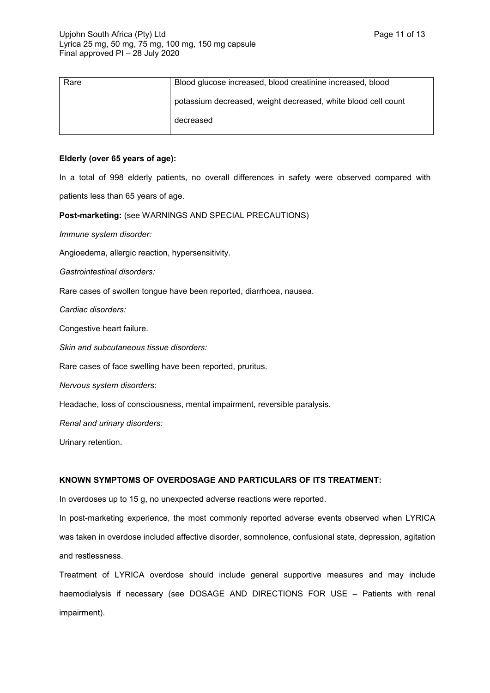| Rare | Blood glucose increased, blood creatinine increased, blood    |
|------|---------------------------------------------------------------|
|      | potassium decreased, weight decreased, white blood cell count |
|      | decreased                                                     |

## **Elderly (over 65 years of age):**

In a total of 998 elderly patients, no overall differences in safety were observed compared with patients less than 65 years of age.

**Post-marketing:** (see WARNINGS AND SPECIAL PRECAUTIONS)

*Immune system disorder:*

Angioedema, allergic reaction, hypersensitivity.

*Gastrointestinal disorders:*

Rare cases of swollen tongue have been reported, diarrhoea, nausea.

*Cardiac disorders:*

Congestive heart failure.

*Skin and subcutaneous tissue disorders:*

Rare cases of face swelling have been reported, pruritus.

*Nervous system disorders*:

Headache, loss of consciousness, mental impairment, reversible paralysis.

*Renal and urinary disorders:*

Urinary retention.

## **KNOWN SYMPTOMS OF OVERDOSAGE AND PARTICULARS OF ITS TREATMENT:**

In overdoses up to 15 g, no unexpected adverse reactions were reported.

In post-marketing experience, the most commonly reported adverse events observed when LYRICA was taken in overdose included affective disorder, somnolence, confusional state, depression, agitation and restlessness.

Treatment of LYRICA overdose should include general supportive measures and may include haemodialysis if necessary (see DOSAGE AND DIRECTIONS FOR USE – Patients with renal impairment).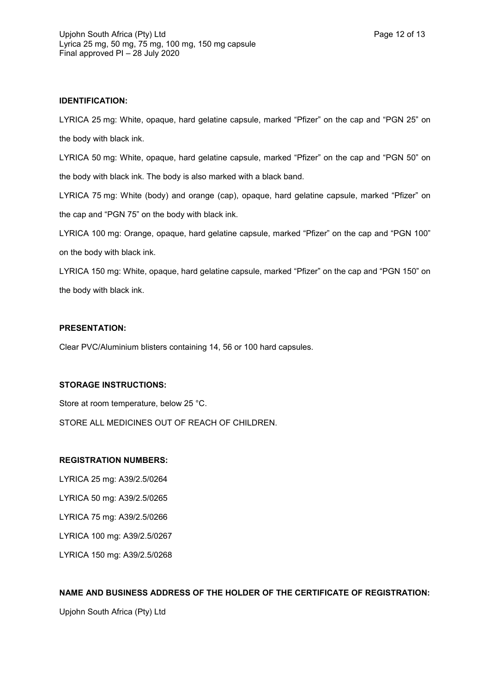## **IDENTIFICATION:**

LYRICA 25 mg: White, opaque, hard gelatine capsule, marked "Pfizer" on the cap and "PGN 25" on the body with black ink.

LYRICA 50 mg: White, opaque, hard gelatine capsule, marked "Pfizer" on the cap and "PGN 50" on the body with black ink. The body is also marked with a black band.

LYRICA 75 mg: White (body) and orange (cap), opaque, hard gelatine capsule, marked "Pfizer" on the cap and "PGN 75" on the body with black ink.

LYRICA 100 mg: Orange, opaque, hard gelatine capsule, marked "Pfizer" on the cap and "PGN 100" on the body with black ink.

LYRICA 150 mg: White, opaque, hard gelatine capsule, marked "Pfizer" on the cap and "PGN 150" on the body with black ink.

## **PRESENTATION:**

Clear PVC/Aluminium blisters containing 14, 56 or 100 hard capsules.

## **STORAGE INSTRUCTIONS:**

Store at room temperature, below 25 °C.

STORE ALL MEDICINES OUT OF REACH OF CHILDREN.

#### **REGISTRATION NUMBERS:**

LYRICA 25 mg: A39/2.5/0264 LYRICA 50 mg: A39/2.5/0265 LYRICA 75 mg: A39/2.5/0266 LYRICA 100 mg: A39/2.5/0267 LYRICA 150 mg: A39/2.5/0268

## **NAME AND BUSINESS ADDRESS OF THE HOLDER OF THE CERTIFICATE OF REGISTRATION:**

Upjohn South Africa (Pty) Ltd